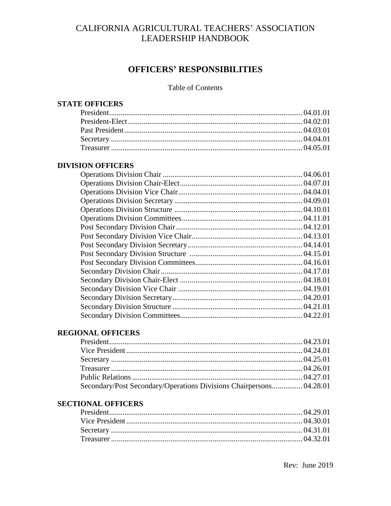# CALIFORNIA AGRICULTURAL TEACHERS' ASSOCIATION **LEADERSHIP HANDBOOK**

# **OFFICERS' RESPONSIBILITIES**

#### Table of Contents

## **STATE OFFICERS**

## **DIVISION OFFICERS**

#### **REGIONAL OFFICERS**

| Secondary/Post Secondary/Operations Divisions Chairpersons 04.28.01 |  |
|---------------------------------------------------------------------|--|

#### **SECTIONAL OFFICERS**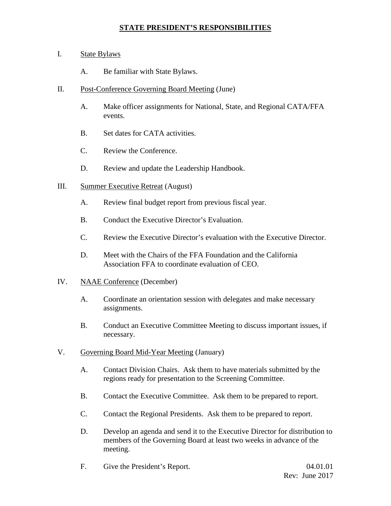## **STATE PRESIDENT'S RESPONSIBILITIES**

## I. State Bylaws

- A. Be familiar with State Bylaws.
- II. Post-Conference Governing Board Meeting (June)
	- A. Make officer assignments for National, State, and Regional CATA/FFA events.
	- B. Set dates for CATA activities.
	- C. Review the Conference.
	- D. Review and update the Leadership Handbook.
- III. Summer Executive Retreat (August)
	- A. Review final budget report from previous fiscal year.
	- B. Conduct the Executive Director's Evaluation.
	- C. Review the Executive Director's evaluation with the Executive Director.
	- D. Meet with the Chairs of the FFA Foundation and the California Association FFA to coordinate evaluation of CEO.
- IV. NAAE Conference (December)
	- A. Coordinate an orientation session with delegates and make necessary assignments.
	- B. Conduct an Executive Committee Meeting to discuss important issues, if necessary.
- V. Governing Board Mid-Year Meeting (January)
	- A. Contact Division Chairs. Ask them to have materials submitted by the regions ready for presentation to the Screening Committee.
	- B. Contact the Executive Committee. Ask them to be prepared to report.
	- C. Contact the Regional Presidents. Ask them to be prepared to report.
	- D. Develop an agenda and send it to the Executive Director for distribution to members of the Governing Board at least two weeks in advance of the meeting.
	- F. Give the President's Report. 04.01.01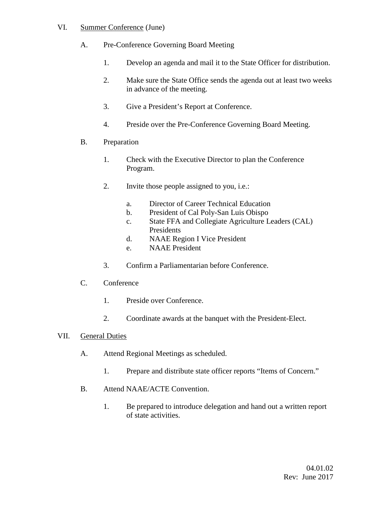#### VI. Summer Conference (June)

- A. Pre-Conference Governing Board Meeting
	- 1. Develop an agenda and mail it to the State Officer for distribution.
	- 2. Make sure the State Office sends the agenda out at least two weeks in advance of the meeting.
	- 3. Give a President's Report at Conference.
	- 4. Preside over the Pre-Conference Governing Board Meeting.
- B. Preparation
	- 1. Check with the Executive Director to plan the Conference Program.
	- 2. Invite those people assigned to you, i.e.:
		- a. Director of Career Technical Education
		- b. President of Cal Poly-San Luis Obispo
		- c. State FFA and Collegiate Agriculture Leaders (CAL) Presidents
		- d. NAAE Region I Vice President
		- e. NAAE President
	- 3. Confirm a Parliamentarian before Conference.
- C. Conference
	- 1. Preside over Conference.
	- 2. Coordinate awards at the banquet with the President-Elect.

## VII. General Duties

- A. Attend Regional Meetings as scheduled.
	- 1. Prepare and distribute state officer reports "Items of Concern."
- B. Attend NAAE/ACTE Convention.
	- 1. Be prepared to introduce delegation and hand out a written report of state activities.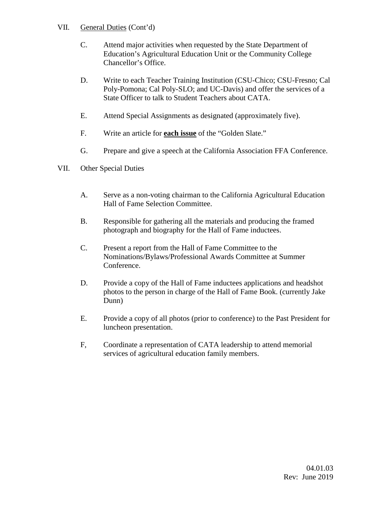## VII. General Duties (Cont'd)

- C. Attend major activities when requested by the State Department of Education's Agricultural Education Unit or the Community College Chancellor's Office.
- D. Write to each Teacher Training Institution (CSU-Chico; CSU-Fresno; Cal Poly-Pomona; Cal Poly-SLO; and UC-Davis) and offer the services of a State Officer to talk to Student Teachers about CATA.
- E. Attend Special Assignments as designated (approximately five).
- F. Write an article for **each issue** of the "Golden Slate."
- G. Prepare and give a speech at the California Association FFA Conference.

# VII. Other Special Duties

- A. Serve as a non-voting chairman to the California Agricultural Education Hall of Fame Selection Committee.
- B. Responsible for gathering all the materials and producing the framed photograph and biography for the Hall of Fame inductees.
- C. Present a report from the Hall of Fame Committee to the Nominations/Bylaws/Professional Awards Committee at Summer Conference.
- D. Provide a copy of the Hall of Fame inductees applications and headshot photos to the person in charge of the Hall of Fame Book. (currently Jake Dunn)
- E. Provide a copy of all photos (prior to conference) to the Past President for luncheon presentation.
- F, Coordinate a representation of CATA leadership to attend memorial services of agricultural education family members.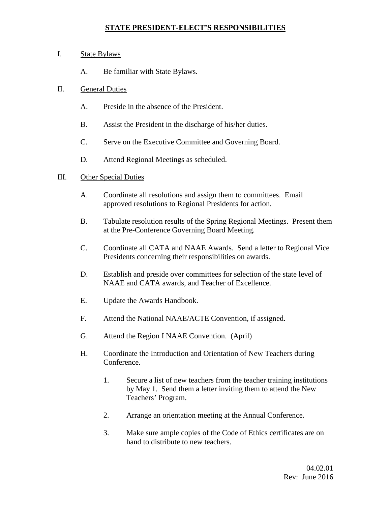# **STATE PRESIDENT-ELECT'S RESPONSIBILITIES**

## I. State Bylaws

A. Be familiar with State Bylaws.

## II. General Duties

- A. Preside in the absence of the President.
- B. Assist the President in the discharge of his/her duties.
- C. Serve on the Executive Committee and Governing Board.
- D. Attend Regional Meetings as scheduled.

## III. Other Special Duties

- A. Coordinate all resolutions and assign them to committees. Email approved resolutions to Regional Presidents for action.
- B. Tabulate resolution results of the Spring Regional Meetings. Present them at the Pre-Conference Governing Board Meeting.
- C. Coordinate all CATA and NAAE Awards. Send a letter to Regional Vice Presidents concerning their responsibilities on awards.
- D. Establish and preside over committees for selection of the state level of NAAE and CATA awards, and Teacher of Excellence.
- E. Update the Awards Handbook.
- F. Attend the National NAAE/ACTE Convention, if assigned.
- G. Attend the Region I NAAE Convention. (April)
- H. Coordinate the Introduction and Orientation of New Teachers during Conference.
	- 1. Secure a list of new teachers from the teacher training institutions by May 1. Send them a letter inviting them to attend the New Teachers' Program.
	- 2. Arrange an orientation meeting at the Annual Conference.
	- 3. Make sure ample copies of the Code of Ethics certificates are on hand to distribute to new teachers.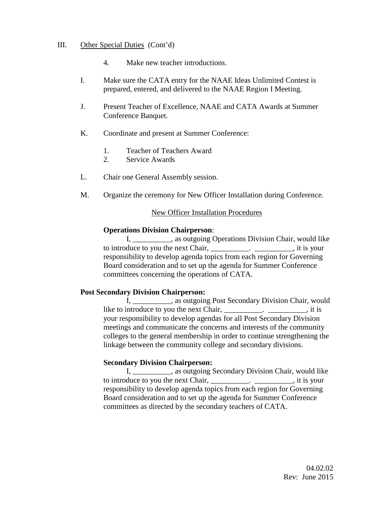#### III. Other Special Duties (Cont'd)

- 4. Make new teacher introductions.
- I. Make sure the CATA entry for the NAAE Ideas Unlimited Contest is prepared, entered, and delivered to the NAAE Region I Meeting.
- J. Present Teacher of Excellence, NAAE and CATA Awards at Summer Conference Banquet.
- K. Coordinate and present at Summer Conference:
	- 1. Teacher of Teachers Award
	- 2. Service Awards
- L. Chair one General Assembly session.
- M. Organize the ceremony for New Officer Installation during Conference.

### New Officer Installation Procedures

### **Operations Division Chairperson**:

I, \_\_\_\_\_\_\_\_\_\_, as outgoing Operations Division Chair, would like to introduce to you the next Chair, \_\_\_\_\_\_\_\_\_. \_\_\_\_\_\_\_\_\_\_, it is your responsibility to develop agenda topics from each region for Governing Board consideration and to set up the agenda for Summer Conference committees concerning the operations of CATA.

#### **Post Secondary Division Chairperson:**

I, \_\_\_\_\_\_\_\_\_\_, as outgoing Post Secondary Division Chair, would like to introduce to you the next Chair,  $\cdot$   $\cdot$   $\cdot$   $\cdot$   $\cdot$   $\cdot$  it is your responsibility to develop agendas for all Post Secondary Division meetings and communicate the concerns and interests of the community colleges to the general membership in order to continue strengthening the linkage between the community college and secondary divisions.

## **Secondary Division Chairperson:**

I, \_\_\_\_\_\_\_\_\_\_, as outgoing Secondary Division Chair, would like to introduce to you the next Chair, the set of the set of the set of the next Chair,  $\frac{1}{2}$  it is your responsibility to develop agenda topics from each region for Governing Board consideration and to set up the agenda for Summer Conference committees as directed by the secondary teachers of CATA.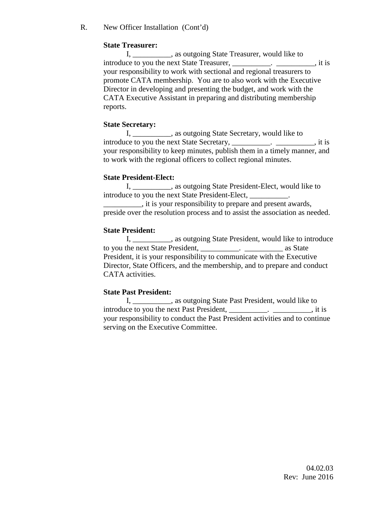# **State Treasurer:**

I, \_\_\_\_\_\_\_\_\_\_, as outgoing State Treasurer, would like to introduce to you the next State Treasurer, \_\_\_\_\_\_\_\_\_\_. \_\_\_\_\_\_\_\_\_\_, it is your responsibility to work with sectional and regional treasurers to promote CATA membership. You are to also work with the Executive Director in developing and presenting the budget, and work with the CATA Executive Assistant in preparing and distributing membership reports.

# **State Secretary:**

I, \_\_\_\_\_\_\_\_\_\_, as outgoing State Secretary, would like to introduce to you the next State Secretary, \_\_\_\_\_\_\_\_\_\_. \_\_\_\_\_\_\_\_\_\_, it is your responsibility to keep minutes, publish them in a timely manner, and to work with the regional officers to collect regional minutes.

# **State President-Elect:**

I, \_\_\_\_\_\_\_\_\_\_, as outgoing State President-Elect, would like to introduce to you the next State President-Elect, \_\_\_\_\_\_\_\_\_\_. \_\_\_\_\_\_\_\_\_\_, it is your responsibility to prepare and present awards, preside over the resolution process and to assist the association as needed.

## **State President:**

I, \_\_\_\_\_\_\_\_\_\_, as outgoing State President, would like to introduce to you the next State President, \_\_\_\_\_\_\_\_\_\_. \_\_\_\_\_\_\_\_\_\_ as State President, it is your responsibility to communicate with the Executive Director, State Officers, and the membership, and to prepare and conduct CATA activities.

## **State Past President:**

I, \_\_\_\_\_\_\_\_\_\_, as outgoing State Past President, would like to introduce to you the next Past President,  $\cdot$   $\cdot$   $\cdot$   $\cdot$   $\cdot$  it is your responsibility to conduct the Past President activities and to continue serving on the Executive Committee.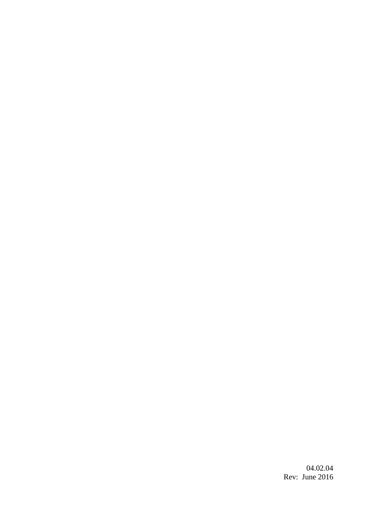04.02.04 Rev: June 2016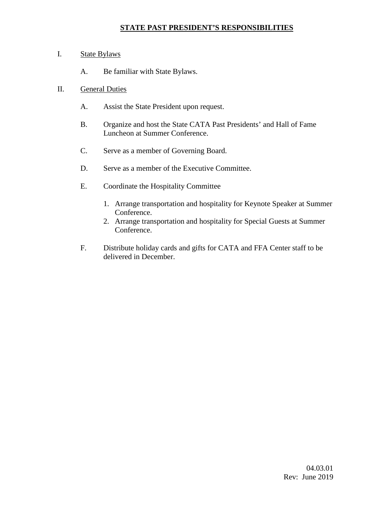## **STATE PAST PRESIDENT'S RESPONSIBILITIES**

#### I. State Bylaws

A. Be familiar with State Bylaws.

### II. General Duties

- A. Assist the State President upon request.
- B. Organize and host the State CATA Past Presidents' and Hall of Fame Luncheon at Summer Conference.
- C. Serve as a member of Governing Board.
- D. Serve as a member of the Executive Committee.
- E. Coordinate the Hospitality Committee
	- 1. Arrange transportation and hospitality for Keynote Speaker at Summer Conference.
	- 2. Arrange transportation and hospitality for Special Guests at Summer Conference.
- F. Distribute holiday cards and gifts for CATA and FFA Center staff to be delivered in December.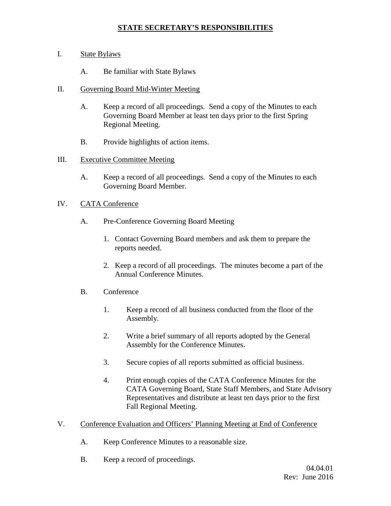# **STATE SECRETARY'S RESPONSIBILITIES**

- I. State Bylaws
	- A. Be familiar with State Bylaws
- II. Governing Board Mid-Winter Meeting
	- A. Keep a record of all proceedings. Send a copy of the Minutes to each Governing Board Member at least ten days prior to the first Spring Regional Meeting.
	- B. Provide highlights of action items.
- III. Executive Committee Meeting
	- A. Keep a record of all proceedings. Send a copy of the Minutes to each Governing Board Member.

### IV. CATA Conference

- A. Pre-Conference Governing Board Meeting
	- 1. Contact Governing Board members and ask them to prepare the reports needed.
	- 2. Keep a record of all proceedings. The minutes become a part of the Annual Conference Minutes.
- B. Conference
	- 1. Keep a record of all business conducted from the floor of the Assembly.
	- 2. Write a brief summary of all reports adopted by the General Assembly for the Conference Minutes.
	- 3. Secure copies of all reports submitted as official business.
	- 4. Print enough copies of the CATA Conference Minutes for the CATA Governing Board, State Staff Members, and State Advisory Representatives and distribute at least ten days prior to the first Fall Regional Meeting.
- V. Conference Evaluation and Officers' Planning Meeting at End of Conference
	- A. Keep Conference Minutes to a reasonable size.
	- B. Keep a record of proceedings.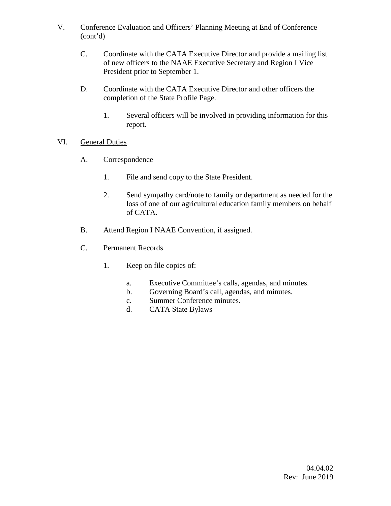- V. Conference Evaluation and Officers' Planning Meeting at End of Conference (cont'd)
	- C. Coordinate with the CATA Executive Director and provide a mailing list of new officers to the NAAE Executive Secretary and Region I Vice President prior to September 1.
	- D. Coordinate with the CATA Executive Director and other officers the completion of the State Profile Page.
		- 1. Several officers will be involved in providing information for this report.
- VI. General Duties
	- A. Correspondence
		- 1. File and send copy to the State President.
		- 2. Send sympathy card/note to family or department as needed for the loss of one of our agricultural education family members on behalf of CATA.
	- B. Attend Region I NAAE Convention, if assigned.
	- C. Permanent Records
		- 1. Keep on file copies of:
			- a. Executive Committee's calls, agendas, and minutes.
			- b. Governing Board's call, agendas, and minutes.
			- c. Summer Conference minutes.
			- d. CATA State Bylaws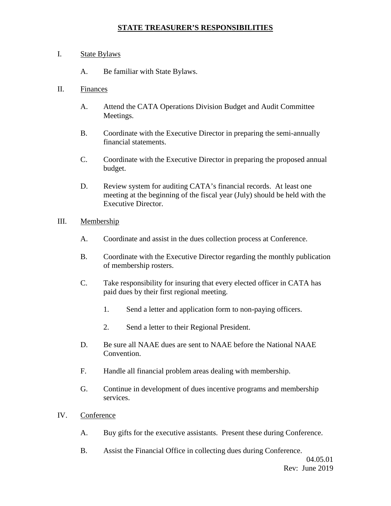# **STATE TREASURER'S RESPONSIBILITIES**

### I. State Bylaws

A. Be familiar with State Bylaws.

## II. Finances

- A. Attend the CATA Operations Division Budget and Audit Committee Meetings.
- B. Coordinate with the Executive Director in preparing the semi-annually financial statements.
- C. Coordinate with the Executive Director in preparing the proposed annual budget.
- D. Review system for auditing CATA's financial records. At least one meeting at the beginning of the fiscal year (July) should be held with the Executive Director.

### III. Membership

- A. Coordinate and assist in the dues collection process at Conference.
- B. Coordinate with the Executive Director regarding the monthly publication of membership rosters.
- C. Take responsibility for insuring that every elected officer in CATA has paid dues by their first regional meeting.
	- 1. Send a letter and application form to non-paying officers.
	- 2. Send a letter to their Regional President.
- D. Be sure all NAAE dues are sent to NAAE before the National NAAE Convention.
- F. Handle all financial problem areas dealing with membership.
- G. Continue in development of dues incentive programs and membership services.
- IV. Conference
	- A. Buy gifts for the executive assistants. Present these during Conference.
	- B. Assist the Financial Office in collecting dues during Conference.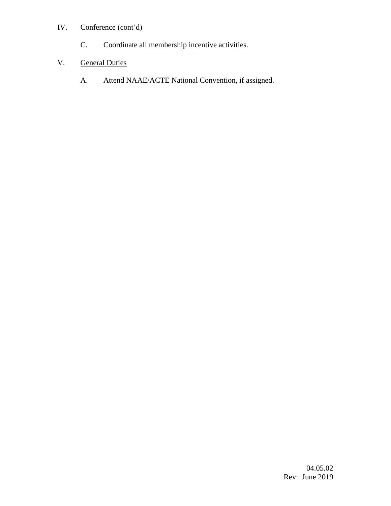# IV. Conference (cont'd)

C. Coordinate all membership incentive activities.

# V. General Duties

A. Attend NAAE/ACTE National Convention, if assigned.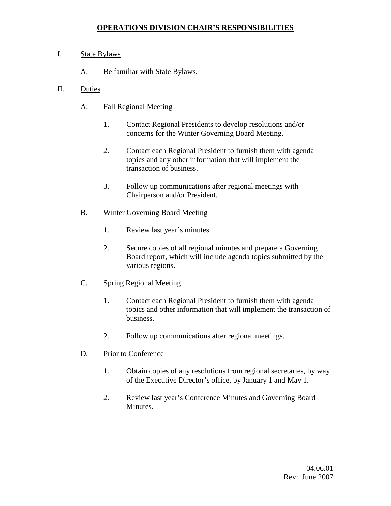# **OPERATIONS DIVISION CHAIR'S RESPONSIBILITIES**

- I. State Bylaws
	- A. Be familiar with State Bylaws.

- A. Fall Regional Meeting
	- 1. Contact Regional Presidents to develop resolutions and/or concerns for the Winter Governing Board Meeting.
	- 2. Contact each Regional President to furnish them with agenda topics and any other information that will implement the transaction of business.
	- 3. Follow up communications after regional meetings with Chairperson and/or President.
- B. Winter Governing Board Meeting
	- 1. Review last year's minutes.
	- 2. Secure copies of all regional minutes and prepare a Governing Board report, which will include agenda topics submitted by the various regions.
- C. Spring Regional Meeting
	- 1. Contact each Regional President to furnish them with agenda topics and other information that will implement the transaction of business.
	- 2. Follow up communications after regional meetings.
- D. Prior to Conference
	- 1. Obtain copies of any resolutions from regional secretaries, by way of the Executive Director's office, by January 1 and May 1.
	- 2. Review last year's Conference Minutes and Governing Board Minutes.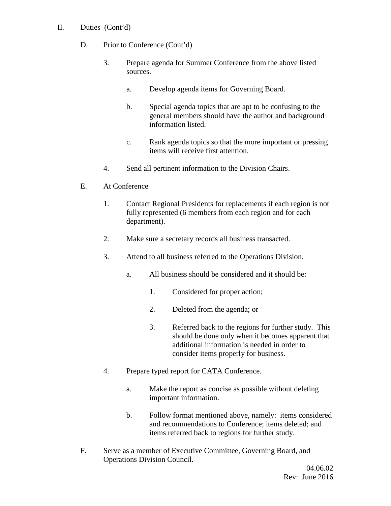## II. Duties (Cont'd)

- D. Prior to Conference (Cont'd)
	- 3. Prepare agenda for Summer Conference from the above listed sources.
		- a. Develop agenda items for Governing Board.
		- b. Special agenda topics that are apt to be confusing to the general members should have the author and background information listed.
		- c. Rank agenda topics so that the more important or pressing items will receive first attention.
	- 4. Send all pertinent information to the Division Chairs.
- E. At Conference
	- 1. Contact Regional Presidents for replacements if each region is not fully represented (6 members from each region and for each department).
	- 2. Make sure a secretary records all business transacted.
	- 3. Attend to all business referred to the Operations Division.
		- a. All business should be considered and it should be:
			- 1. Considered for proper action;
			- 2. Deleted from the agenda; or
			- 3. Referred back to the regions for further study. This should be done only when it becomes apparent that additional information is needed in order to consider items properly for business.
	- 4. Prepare typed report for CATA Conference.
		- a. Make the report as concise as possible without deleting important information.
		- b. Follow format mentioned above, namely: items considered and recommendations to Conference; items deleted; and items referred back to regions for further study.
- F. Serve as a member of Executive Committee, Governing Board, and Operations Division Council.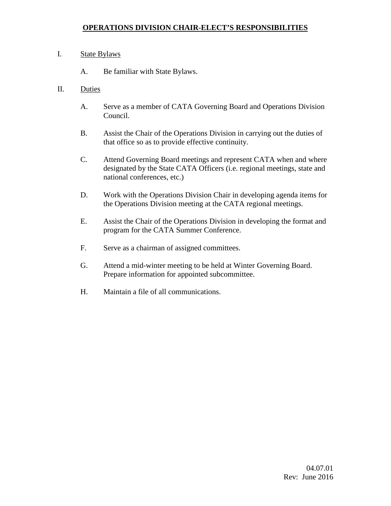## **OPERATIONS DIVISION CHAIR-ELECT'S RESPONSIBILITIES**

## I. State Bylaws

A. Be familiar with State Bylaws.

- A. Serve as a member of CATA Governing Board and Operations Division Council.
- B. Assist the Chair of the Operations Division in carrying out the duties of that office so as to provide effective continuity.
- C. Attend Governing Board meetings and represent CATA when and where designated by the State CATA Officers (i.e. regional meetings, state and national conferences, etc.)
- D. Work with the Operations Division Chair in developing agenda items for the Operations Division meeting at the CATA regional meetings.
- E. Assist the Chair of the Operations Division in developing the format and program for the CATA Summer Conference.
- F. Serve as a chairman of assigned committees.
- G. Attend a mid-winter meeting to be held at Winter Governing Board. Prepare information for appointed subcommittee.
- H. Maintain a file of all communications.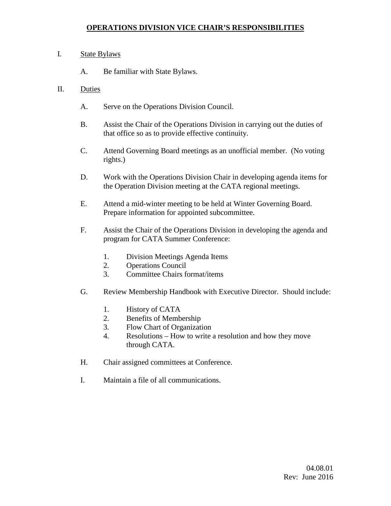## **OPERATIONS DIVISION VICE CHAIR'S RESPONSIBILITIES**

#### I. State Bylaws

A. Be familiar with State Bylaws.

- A. Serve on the Operations Division Council.
- B. Assist the Chair of the Operations Division in carrying out the duties of that office so as to provide effective continuity.
- C. Attend Governing Board meetings as an unofficial member. (No voting rights.)
- D. Work with the Operations Division Chair in developing agenda items for the Operation Division meeting at the CATA regional meetings.
- E. Attend a mid-winter meeting to be held at Winter Governing Board. Prepare information for appointed subcommittee.
- F. Assist the Chair of the Operations Division in developing the agenda and program for CATA Summer Conference:
	- 1. Division Meetings Agenda Items
	- 2. Operations Council
	- 3. Committee Chairs format/items
- G. Review Membership Handbook with Executive Director. Should include:
	- 1. History of CATA
	- 2. Benefits of Membership
	- 3. Flow Chart of Organization
	- 4. Resolutions How to write a resolution and how they move through CATA.
- H. Chair assigned committees at Conference.
- I. Maintain a file of all communications.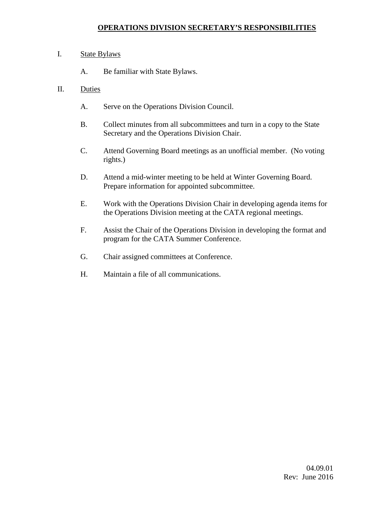## **OPERATIONS DIVISION SECRETARY'S RESPONSIBILITIES**

### I. State Bylaws

A. Be familiar with State Bylaws.

- A. Serve on the Operations Division Council.
- B. Collect minutes from all subcommittees and turn in a copy to the State Secretary and the Operations Division Chair.
- C. Attend Governing Board meetings as an unofficial member. (No voting rights.)
- D. Attend a mid-winter meeting to be held at Winter Governing Board. Prepare information for appointed subcommittee.
- E. Work with the Operations Division Chair in developing agenda items for the Operations Division meeting at the CATA regional meetings.
- F. Assist the Chair of the Operations Division in developing the format and program for the CATA Summer Conference.
- G. Chair assigned committees at Conference.
- H. Maintain a file of all communications.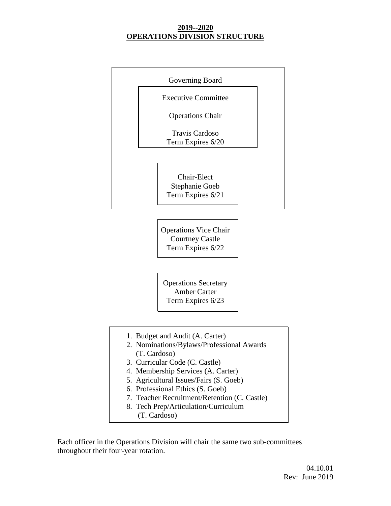## **2019--2020 OPERATIONS DIVISION STRUCTURE**



Each officer in the Operations Division will chair the same two sub-committees throughout their four-year rotation.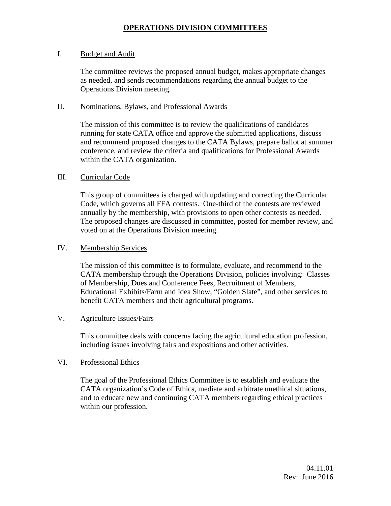## **OPERATIONS DIVISION COMMITTEES**

#### I. Budget and Audit

The committee reviews the proposed annual budget, makes appropriate changes as needed, and sends recommendations regarding the annual budget to the Operations Division meeting.

#### II. Nominations, Bylaws, and Professional Awards

The mission of this committee is to review the qualifications of candidates running for state CATA office and approve the submitted applications, discuss and recommend proposed changes to the CATA Bylaws, prepare ballot at summer conference, and review the criteria and qualifications for Professional Awards within the CATA organization.

### III. Curricular Code

This group of committees is charged with updating and correcting the Curricular Code, which governs all FFA contests. One-third of the contests are reviewed annually by the membership, with provisions to open other contests as needed. The proposed changes are discussed in committee, posted for member review, and voted on at the Operations Division meeting.

### IV. Membership Services

The mission of this committee is to formulate, evaluate, and recommend to the CATA membership through the Operations Division, policies involving: Classes of Membership, Dues and Conference Fees, Recruitment of Members, Educational Exhibits/Farm and Idea Show, "Golden Slate", and other services to benefit CATA members and their agricultural programs.

#### V. Agriculture Issues/Fairs

This committee deals with concerns facing the agricultural education profession, including issues involving fairs and expositions and other activities.

## VI. Professional Ethics

The goal of the Professional Ethics Committee is to establish and evaluate the CATA organization's Code of Ethics, mediate and arbitrate unethical situations, and to educate new and continuing CATA members regarding ethical practices within our profession.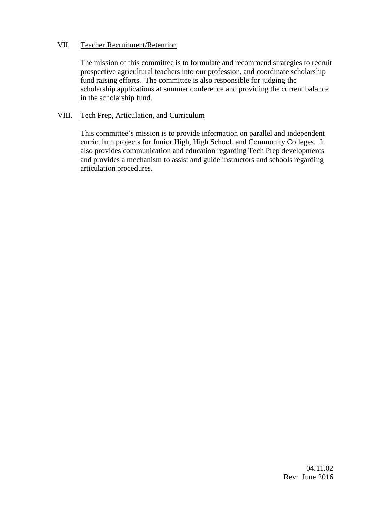#### VII. Teacher Recruitment/Retention

The mission of this committee is to formulate and recommend strategies to recruit prospective agricultural teachers into our profession, and coordinate scholarship fund raising efforts. The committee is also responsible for judging the scholarship applications at summer conference and providing the current balance in the scholarship fund.

## VIII. Tech Prep, Articulation, and Curriculum

This committee's mission is to provide information on parallel and independent curriculum projects for Junior High, High School, and Community Colleges. It also provides communication and education regarding Tech Prep developments and provides a mechanism to assist and guide instructors and schools regarding articulation procedures.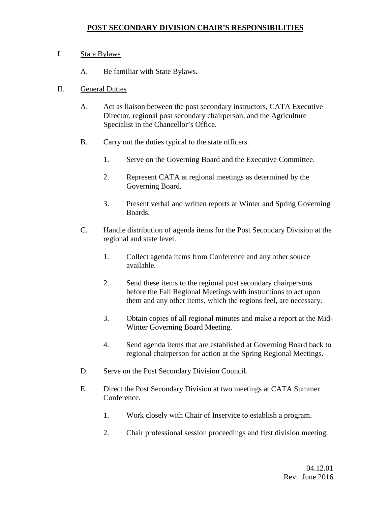## **POST SECONDARY DIVISION CHAIR'S RESPONSIBILITIES**

- I. State Bylaws
	- A. Be familiar with State Bylaws.

### II. General Duties

- A. Act as liaison between the post secondary instructors, CATA Executive Director, regional post secondary chairperson, and the Agriculture Specialist in the Chancellor's Office.
- B. Carry out the duties typical to the state officers.
	- 1. Serve on the Governing Board and the Executive Committee.
	- 2. Represent CATA at regional meetings as determined by the Governing Board.
	- 3. Present verbal and written reports at Winter and Spring Governing Boards.
- C. Handle distribution of agenda items for the Post Secondary Division at the regional and state level.
	- 1. Collect agenda items from Conference and any other source available.
	- 2. Send these items to the regional post secondary chairpersons before the Fall Regional Meetings with instructions to act upon them and any other items, which the regions feel, are necessary.
	- 3. Obtain copies of all regional minutes and make a report at the Mid-Winter Governing Board Meeting.
	- 4. Send agenda items that are established at Governing Board back to regional chairperson for action at the Spring Regional Meetings.
- D. Serve on the Post Secondary Division Council.
- E. Direct the Post Secondary Division at two meetings at CATA Summer Conference.
	- 1. Work closely with Chair of Inservice to establish a program.
	- 2. Chair professional session proceedings and first division meeting.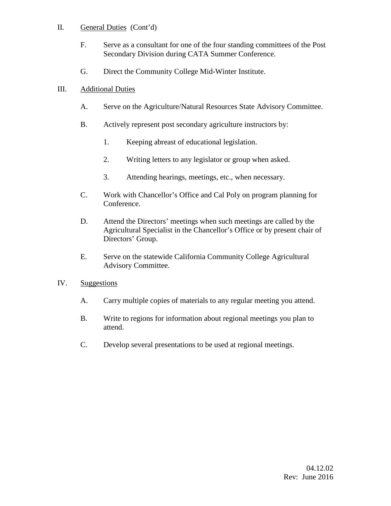## II. General Duties (Cont'd)

- F. Serve as a consultant for one of the four standing committees of the Post Secondary Division during CATA Summer Conference.
- G. Direct the Community College Mid-Winter Institute.

# III. Additional Duties

- A. Serve on the Agriculture/Natural Resources State Advisory Committee.
- B. Actively represent post secondary agriculture instructors by:
	- 1. Keeping abreast of educational legislation.
	- 2. Writing letters to any legislator or group when asked.
	- 3. Attending hearings, meetings, etc., when necessary.
- C. Work with Chancellor's Office and Cal Poly on program planning for Conference.
- D. Attend the Directors' meetings when such meetings are called by the Agricultural Specialist in the Chancellor's Office or by present chair of Directors' Group.
- E. Serve on the statewide California Community College Agricultural Advisory Committee.
- IV. Suggestions
	- A. Carry multiple copies of materials to any regular meeting you attend.
	- B. Write to regions for information about regional meetings you plan to attend.
	- C. Develop several presentations to be used at regional meetings.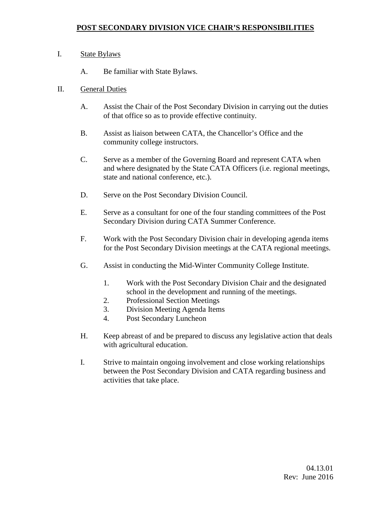# **POST SECONDARY DIVISION VICE CHAIR'S RESPONSIBILITIES**

## I. State Bylaws

A. Be familiar with State Bylaws.

### II. General Duties

- A. Assist the Chair of the Post Secondary Division in carrying out the duties of that office so as to provide effective continuity.
- B. Assist as liaison between CATA, the Chancellor's Office and the community college instructors.
- C. Serve as a member of the Governing Board and represent CATA when and where designated by the State CATA Officers (i.e. regional meetings, state and national conference, etc.).
- D. Serve on the Post Secondary Division Council.
- E. Serve as a consultant for one of the four standing committees of the Post Secondary Division during CATA Summer Conference.
- F. Work with the Post Secondary Division chair in developing agenda items for the Post Secondary Division meetings at the CATA regional meetings.
- G. Assist in conducting the Mid-Winter Community College Institute.
	- 1. Work with the Post Secondary Division Chair and the designated school in the development and running of the meetings.
	- 2. Professional Section Meetings
	- 3. Division Meeting Agenda Items
	- 4. Post Secondary Luncheon
- H. Keep abreast of and be prepared to discuss any legislative action that deals with agricultural education.
- I. Strive to maintain ongoing involvement and close working relationships between the Post Secondary Division and CATA regarding business and activities that take place.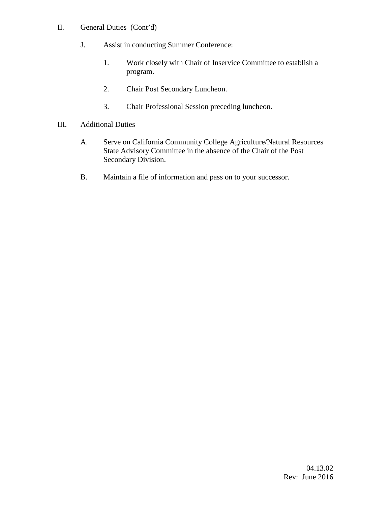# II. General Duties (Cont'd)

- J. Assist in conducting Summer Conference:
	- 1. Work closely with Chair of Inservice Committee to establish a program.
	- 2. Chair Post Secondary Luncheon.
	- 3. Chair Professional Session preceding luncheon.

# III. Additional Duties

- A. Serve on California Community College Agriculture/Natural Resources State Advisory Committee in the absence of the Chair of the Post Secondary Division.
- B. Maintain a file of information and pass on to your successor.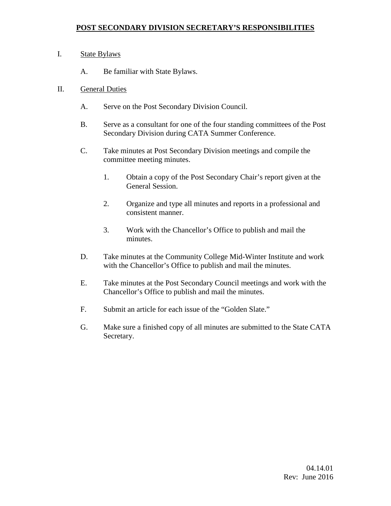## **POST SECONDARY DIVISION SECRETARY'S RESPONSIBILITIES**

- I. State Bylaws
	- A. Be familiar with State Bylaws.

#### II. General Duties

- A. Serve on the Post Secondary Division Council.
- B. Serve as a consultant for one of the four standing committees of the Post Secondary Division during CATA Summer Conference.
- C. Take minutes at Post Secondary Division meetings and compile the committee meeting minutes.
	- 1. Obtain a copy of the Post Secondary Chair's report given at the General Session.
	- 2. Organize and type all minutes and reports in a professional and consistent manner.
	- 3. Work with the Chancellor's Office to publish and mail the minutes.
- D. Take minutes at the Community College Mid-Winter Institute and work with the Chancellor's Office to publish and mail the minutes.
- E. Take minutes at the Post Secondary Council meetings and work with the Chancellor's Office to publish and mail the minutes.
- F. Submit an article for each issue of the "Golden Slate."
- G. Make sure a finished copy of all minutes are submitted to the State CATA Secretary.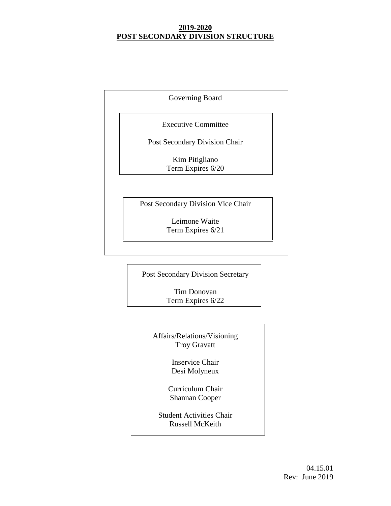## **2019-2020 POST SECONDARY DIVISION STRUCTURE**

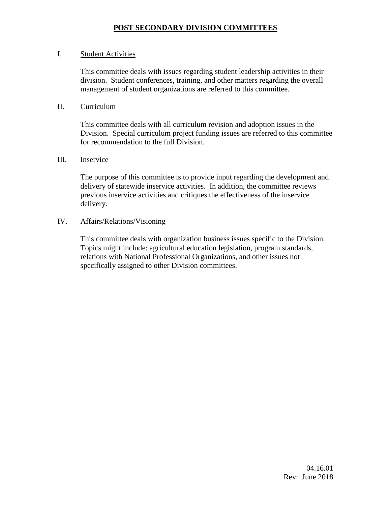# **POST SECONDARY DIVISION COMMITTEES**

#### I. Student Activities

This committee deals with issues regarding student leadership activities in their division. Student conferences, training, and other matters regarding the overall management of student organizations are referred to this committee.

#### II. Curriculum

This committee deals with all curriculum revision and adoption issues in the Division. Special curriculum project funding issues are referred to this committee for recommendation to the full Division.

### III. Inservice

The purpose of this committee is to provide input regarding the development and delivery of statewide inservice activities. In addition, the committee reviews previous inservice activities and critiques the effectiveness of the inservice delivery.

### IV. Affairs/Relations/Visioning

This committee deals with organization business issues specific to the Division. Topics might include: agricultural education legislation, program standards, relations with National Professional Organizations, and other issues not specifically assigned to other Division committees.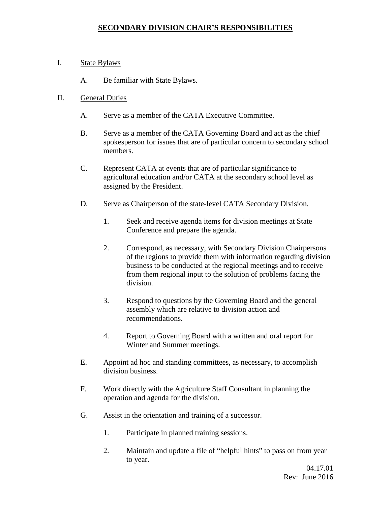## **SECONDARY DIVISION CHAIR'S RESPONSIBILITIES**

#### I. State Bylaws

A. Be familiar with State Bylaws.

#### II. General Duties

- A. Serve as a member of the CATA Executive Committee.
- B. Serve as a member of the CATA Governing Board and act as the chief spokesperson for issues that are of particular concern to secondary school members.
- C. Represent CATA at events that are of particular significance to agricultural education and/or CATA at the secondary school level as assigned by the President.
- D. Serve as Chairperson of the state-level CATA Secondary Division.
	- 1. Seek and receive agenda items for division meetings at State Conference and prepare the agenda.
	- 2. Correspond, as necessary, with Secondary Division Chairpersons of the regions to provide them with information regarding division business to be conducted at the regional meetings and to receive from them regional input to the solution of problems facing the division.
	- 3. Respond to questions by the Governing Board and the general assembly which are relative to division action and recommendations.
	- 4. Report to Governing Board with a written and oral report for Winter and Summer meetings.
- E. Appoint ad hoc and standing committees, as necessary, to accomplish division business.
- F. Work directly with the Agriculture Staff Consultant in planning the operation and agenda for the division.
- G. Assist in the orientation and training of a successor.
	- 1. Participate in planned training sessions.
	- 2. Maintain and update a file of "helpful hints" to pass on from year to year.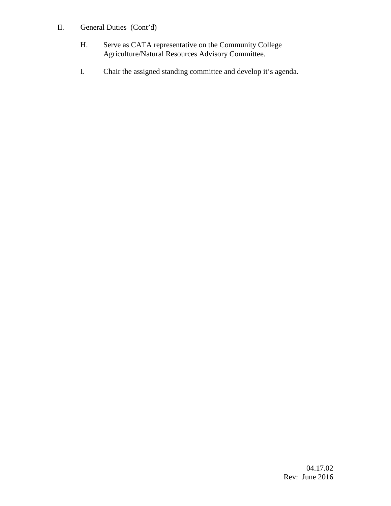# II. General Duties (Cont'd)

- H. Serve as CATA representative on the Community College Agriculture/Natural Resources Advisory Committee.
- I. Chair the assigned standing committee and develop it's agenda.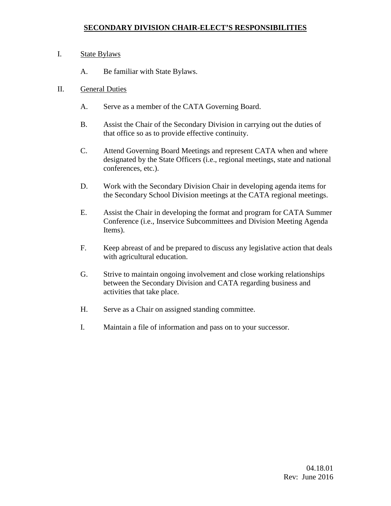## **SECONDARY DIVISION CHAIR-ELECT'S RESPONSIBILITIES**

#### I. State Bylaws

A. Be familiar with State Bylaws.

#### II. General Duties

- A. Serve as a member of the CATA Governing Board.
- B. Assist the Chair of the Secondary Division in carrying out the duties of that office so as to provide effective continuity.
- C. Attend Governing Board Meetings and represent CATA when and where designated by the State Officers (i.e., regional meetings, state and national conferences, etc.).
- D. Work with the Secondary Division Chair in developing agenda items for the Secondary School Division meetings at the CATA regional meetings.
- E. Assist the Chair in developing the format and program for CATA Summer Conference (i.e., Inservice Subcommittees and Division Meeting Agenda Items).
- F. Keep abreast of and be prepared to discuss any legislative action that deals with agricultural education.
- G. Strive to maintain ongoing involvement and close working relationships between the Secondary Division and CATA regarding business and activities that take place.
- H. Serve as a Chair on assigned standing committee.
- I. Maintain a file of information and pass on to your successor.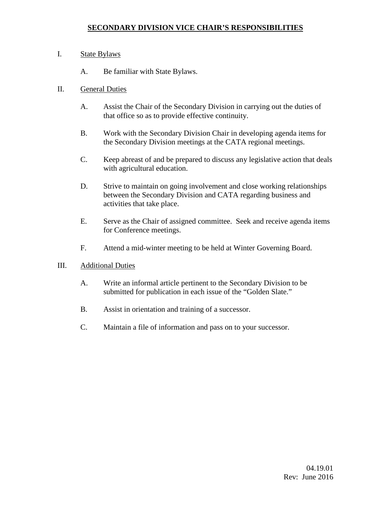## **SECONDARY DIVISION VICE CHAIR'S RESPONSIBILITIES**

## I. State Bylaws

A. Be familiar with State Bylaws.

## II. General Duties

- A. Assist the Chair of the Secondary Division in carrying out the duties of that office so as to provide effective continuity.
- B. Work with the Secondary Division Chair in developing agenda items for the Secondary Division meetings at the CATA regional meetings.
- C. Keep abreast of and be prepared to discuss any legislative action that deals with agricultural education.
- D. Strive to maintain on going involvement and close working relationships between the Secondary Division and CATA regarding business and activities that take place.
- E. Serve as the Chair of assigned committee. Seek and receive agenda items for Conference meetings.
- F. Attend a mid-winter meeting to be held at Winter Governing Board.

## III. Additional Duties

- A. Write an informal article pertinent to the Secondary Division to be submitted for publication in each issue of the "Golden Slate."
- B. Assist in orientation and training of a successor.
- C. Maintain a file of information and pass on to your successor.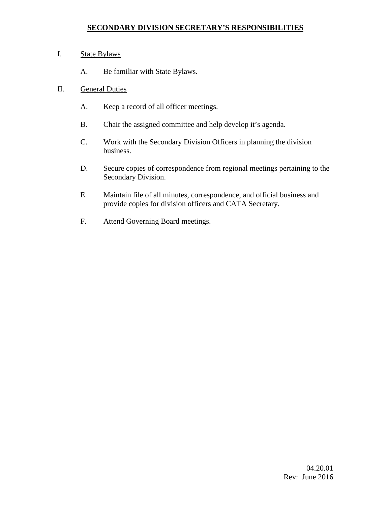## **SECONDARY DIVISION SECRETARY'S RESPONSIBILITIES**

# I. State Bylaws

A. Be familiar with State Bylaws.

## II. General Duties

- A. Keep a record of all officer meetings.
- B. Chair the assigned committee and help develop it's agenda.
- C. Work with the Secondary Division Officers in planning the division business.
- D. Secure copies of correspondence from regional meetings pertaining to the Secondary Division.
- E. Maintain file of all minutes, correspondence, and official business and provide copies for division officers and CATA Secretary.
- F. Attend Governing Board meetings.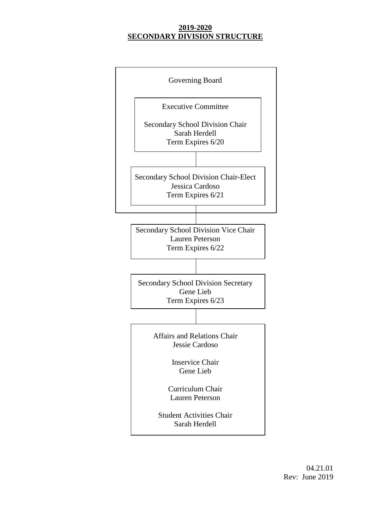## **2019-2020 SECONDARY DIVISION STRUCTURE**

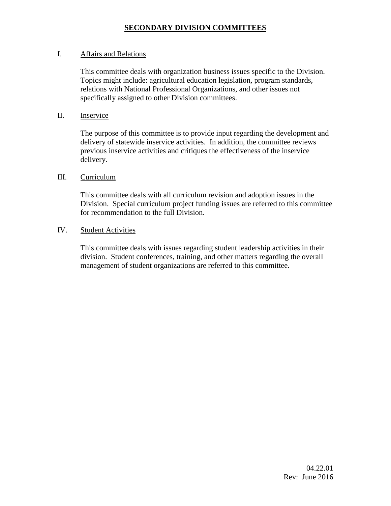# **SECONDARY DIVISION COMMITTEES**

## I. Affairs and Relations

This committee deals with organization business issues specific to the Division. Topics might include: agricultural education legislation, program standards, relations with National Professional Organizations, and other issues not specifically assigned to other Division committees.

#### II. Inservice

The purpose of this committee is to provide input regarding the development and delivery of statewide inservice activities. In addition, the committee reviews previous inservice activities and critiques the effectiveness of the inservice delivery.

#### III. Curriculum

This committee deals with all curriculum revision and adoption issues in the Division. Special curriculum project funding issues are referred to this committee for recommendation to the full Division.

#### IV. Student Activities

This committee deals with issues regarding student leadership activities in their division. Student conferences, training, and other matters regarding the overall management of student organizations are referred to this committee.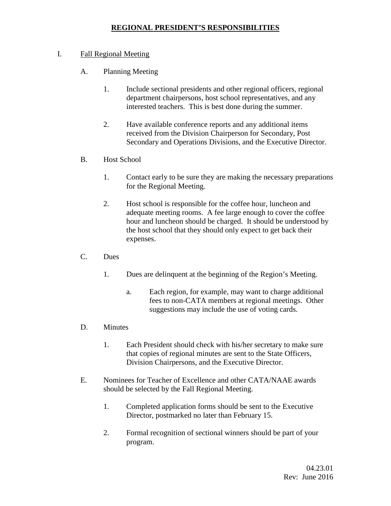# **REGIONAL PRESIDENT'S RESPONSIBILITIES**

- I. Fall Regional Meeting
	- A. Planning Meeting
		- 1. Include sectional presidents and other regional officers, regional department chairpersons, host school representatives, and any interested teachers. This is best done during the summer.
		- 2. Have available conference reports and any additional items received from the Division Chairperson for Secondary, Post Secondary and Operations Divisions, and the Executive Director.
	- B. Host School
		- 1. Contact early to be sure they are making the necessary preparations for the Regional Meeting.
		- 2. Host school is responsible for the coffee hour, luncheon and adequate meeting rooms. A fee large enough to cover the coffee hour and luncheon should be charged. It should be understood by the host school that they should only expect to get back their expenses.
	- C. Dues
		- 1. Dues are delinquent at the beginning of the Region's Meeting.
			- a. Each region, for example, may want to charge additional fees to non-CATA members at regional meetings. Other suggestions may include the use of voting cards.
	- D. Minutes
		- 1. Each President should check with his/her secretary to make sure that copies of regional minutes are sent to the State Officers, Division Chairpersons, and the Executive Director.
	- E. Nominees for Teacher of Excellence and other CATA/NAAE awards should be selected by the Fall Regional Meeting.
		- 1. Completed application forms should be sent to the Executive Director, postmarked no later than February 15.
		- 2. Formal recognition of sectional winners should be part of your program.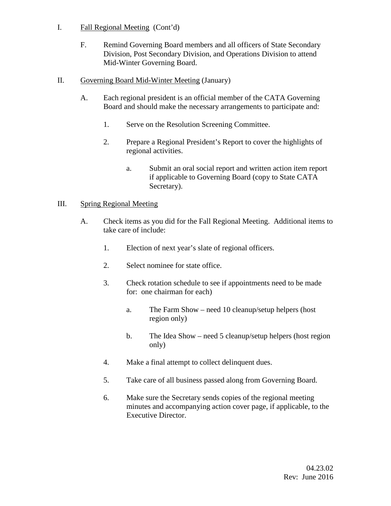- I. Fall Regional Meeting (Cont'd)
	- F. Remind Governing Board members and all officers of State Secondary Division, Post Secondary Division, and Operations Division to attend Mid-Winter Governing Board.
- II. Governing Board Mid-Winter Meeting (January)
	- A. Each regional president is an official member of the CATA Governing Board and should make the necessary arrangements to participate and:
		- 1. Serve on the Resolution Screening Committee.
		- 2. Prepare a Regional President's Report to cover the highlights of regional activities.
			- a. Submit an oral social report and written action item report if applicable to Governing Board (copy to State CATA Secretary).

# III. Spring Regional Meeting

- A. Check items as you did for the Fall Regional Meeting. Additional items to take care of include:
	- 1. Election of next year's slate of regional officers.
	- 2. Select nominee for state office.
	- 3. Check rotation schedule to see if appointments need to be made for: one chairman for each)
		- a. The Farm Show need 10 cleanup/setup helpers (host region only)
		- b. The Idea Show need 5 cleanup/setup helpers (host region only)
	- 4. Make a final attempt to collect delinquent dues.
	- 5. Take care of all business passed along from Governing Board.
	- 6. Make sure the Secretary sends copies of the regional meeting minutes and accompanying action cover page, if applicable, to the Executive Director.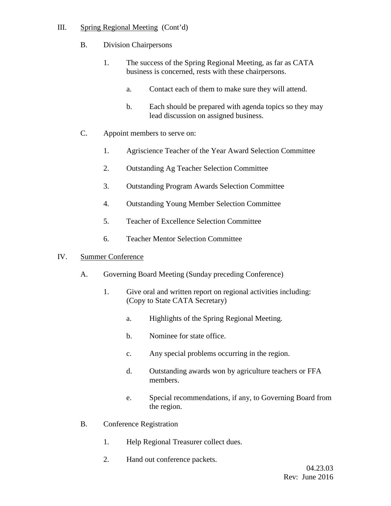## III. Spring Regional Meeting (Cont'd)

- B. Division Chairpersons
	- 1. The success of the Spring Regional Meeting, as far as CATA business is concerned, rests with these chairpersons.
		- a. Contact each of them to make sure they will attend.
		- b. Each should be prepared with agenda topics so they may lead discussion on assigned business.
- C. Appoint members to serve on:
	- 1. Agriscience Teacher of the Year Award Selection Committee
	- 2. Outstanding Ag Teacher Selection Committee
	- 3. Outstanding Program Awards Selection Committee
	- 4. Outstanding Young Member Selection Committee
	- 5. Teacher of Excellence Selection Committee
	- 6. Teacher Mentor Selection Committee

#### IV. Summer Conference

- A. Governing Board Meeting (Sunday preceding Conference)
	- 1. Give oral and written report on regional activities including: (Copy to State CATA Secretary)
		- a. Highlights of the Spring Regional Meeting.
		- b. Nominee for state office.
		- c. Any special problems occurring in the region.
		- d. Outstanding awards won by agriculture teachers or FFA members.
		- e. Special recommendations, if any, to Governing Board from the region.
- B. Conference Registration
	- 1. Help Regional Treasurer collect dues.
	- 2. Hand out conference packets.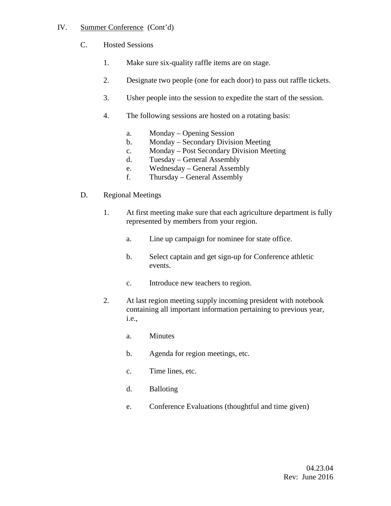### IV. Summer Conference (Cont'd)

- C. Hosted Sessions
	- 1. Make sure six-quality raffle items are on stage.
	- 2. Designate two people (one for each door) to pass out raffle tickets.
	- 3. Usher people into the session to expedite the start of the session.
	- 4. The following sessions are hosted on a rotating basis:
		- a. Monday Opening Session
		- b. Monday Secondary Division Meeting
		- c. Monday Post Secondary Division Meeting
		- d. Tuesday General Assembly
		- e. Wednesday General Assembly
		- f. Thursday General Assembly
- D. Regional Meetings
	- 1. At first meeting make sure that each agriculture department is fully represented by members from your region.
		- a. Line up campaign for nominee for state office.
		- b. Select captain and get sign-up for Conference athletic events.
		- c. Introduce new teachers to region.
	- 2. At last region meeting supply incoming president with notebook containing all important information pertaining to previous year, i.e.,
		- a. Minutes
		- b. Agenda for region meetings, etc.
		- c. Time lines, etc.
		- d. Balloting
		- e. Conference Evaluations (thoughtful and time given)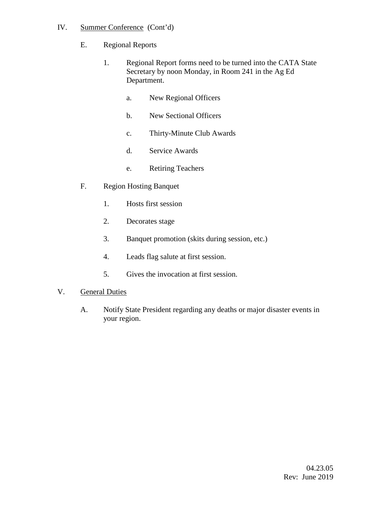## IV. Summer Conference (Cont'd)

- E. Regional Reports
	- 1. Regional Report forms need to be turned into the CATA State Secretary by noon Monday, in Room 241 in the Ag Ed Department.
		- a. New Regional Officers
		- b. New Sectional Officers
		- c. Thirty-Minute Club Awards
		- d. Service Awards
		- e. Retiring Teachers
- F. Region Hosting Banquet
	- 1. Hosts first session
	- 2. Decorates stage
	- 3. Banquet promotion (skits during session, etc.)
	- 4. Leads flag salute at first session.
	- 5. Gives the invocation at first session.
- V. General Duties
	- A. Notify State President regarding any deaths or major disaster events in your region.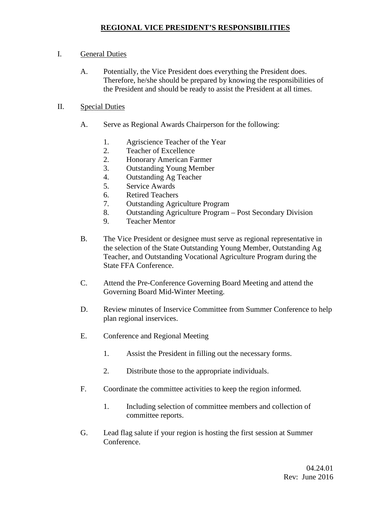# **REGIONAL VICE PRESIDENT'S RESPONSIBILITIES**

## I. General Duties

A. Potentially, the Vice President does everything the President does. Therefore, he/she should be prepared by knowing the responsibilities of the President and should be ready to assist the President at all times.

### II. Special Duties

- A. Serve as Regional Awards Chairperson for the following:
	- 1. Agriscience Teacher of the Year
	- 2. Teacher of Excellence
	- 2. Honorary American Farmer
	- 3. Outstanding Young Member
	- 4. Outstanding Ag Teacher
	- 5. Service Awards
	- 6. Retired Teachers
	- 7. Outstanding Agriculture Program
	- 8. Outstanding Agriculture Program Post Secondary Division
	- 9. Teacher Mentor
- B. The Vice President or designee must serve as regional representative in the selection of the State Outstanding Young Member, Outstanding Ag Teacher, and Outstanding Vocational Agriculture Program during the State FFA Conference.
- C. Attend the Pre-Conference Governing Board Meeting and attend the Governing Board Mid-Winter Meeting.
- D. Review minutes of Inservice Committee from Summer Conference to help plan regional inservices.
- E. Conference and Regional Meeting
	- 1. Assist the President in filling out the necessary forms.
	- 2. Distribute those to the appropriate individuals.
- F. Coordinate the committee activities to keep the region informed.
	- 1. Including selection of committee members and collection of committee reports.
- G. Lead flag salute if your region is hosting the first session at Summer Conference.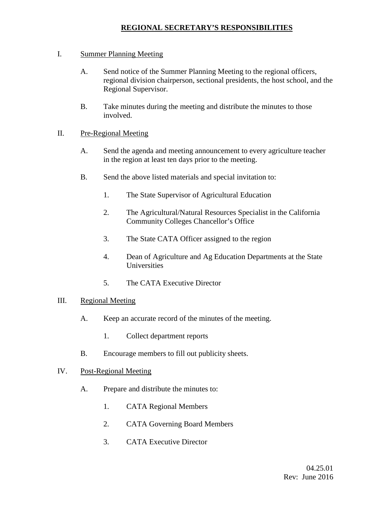# **REGIONAL SECRETARY'S RESPONSIBILITIES**

- I. Summer Planning Meeting
	- A. Send notice of the Summer Planning Meeting to the regional officers, regional division chairperson, sectional presidents, the host school, and the Regional Supervisor.
	- B. Take minutes during the meeting and distribute the minutes to those involved.
- II. Pre-Regional Meeting
	- A. Send the agenda and meeting announcement to every agriculture teacher in the region at least ten days prior to the meeting.
	- B. Send the above listed materials and special invitation to:
		- 1. The State Supervisor of Agricultural Education
		- 2. The Agricultural/Natural Resources Specialist in the California Community Colleges Chancellor's Office
		- 3. The State CATA Officer assigned to the region
		- 4. Dean of Agriculture and Ag Education Departments at the State **Universities**
		- 5. The CATA Executive Director

#### III. Regional Meeting

- A. Keep an accurate record of the minutes of the meeting.
	- 1. Collect department reports
- B. Encourage members to fill out publicity sheets.

#### IV. Post-Regional Meeting

- A. Prepare and distribute the minutes to:
	- 1. CATA Regional Members
	- 2. CATA Governing Board Members
	- 3. CATA Executive Director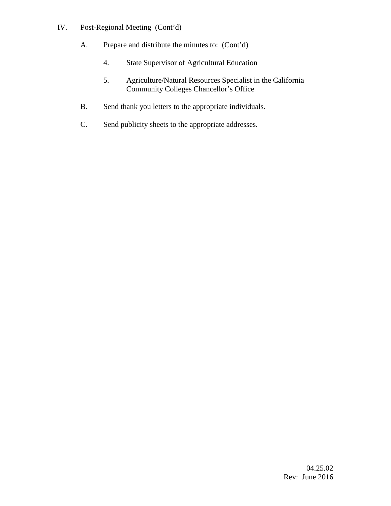# IV. Post-Regional Meeting (Cont'd)

- A. Prepare and distribute the minutes to: (Cont'd)
	- 4. State Supervisor of Agricultural Education
	- 5. Agriculture/Natural Resources Specialist in the California Community Colleges Chancellor's Office
- B. Send thank you letters to the appropriate individuals.
- C. Send publicity sheets to the appropriate addresses.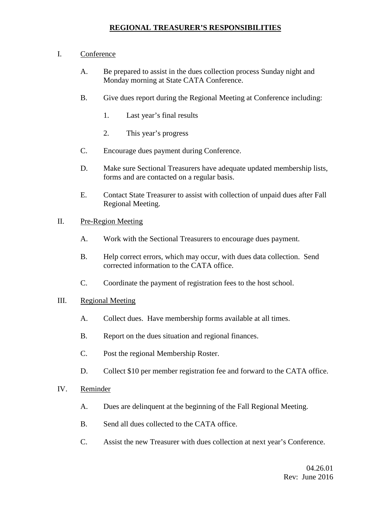# **REGIONAL TREASURER'S RESPONSIBILITIES**

#### I. Conference

- A. Be prepared to assist in the dues collection process Sunday night and Monday morning at State CATA Conference.
- B. Give dues report during the Regional Meeting at Conference including:
	- 1. Last year's final results
	- 2. This year's progress
- C. Encourage dues payment during Conference.
- D. Make sure Sectional Treasurers have adequate updated membership lists, forms and are contacted on a regular basis.
- E. Contact State Treasurer to assist with collection of unpaid dues after Fall Regional Meeting.

#### II. Pre-Region Meeting

- A. Work with the Sectional Treasurers to encourage dues payment.
- B. Help correct errors, which may occur, with dues data collection. Send corrected information to the CATA office.
- C. Coordinate the payment of registration fees to the host school.

#### III. Regional Meeting

- A. Collect dues. Have membership forms available at all times.
- B. Report on the dues situation and regional finances.
- C. Post the regional Membership Roster.
- D. Collect \$10 per member registration fee and forward to the CATA office.

## IV. Reminder

- A. Dues are delinquent at the beginning of the Fall Regional Meeting.
- B. Send all dues collected to the CATA office.
- C. Assist the new Treasurer with dues collection at next year's Conference.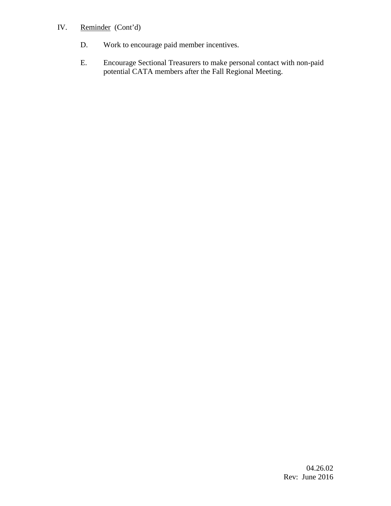# IV. Reminder (Cont'd)

- D. Work to encourage paid member incentives.
- E. Encourage Sectional Treasurers to make personal contact with non-paid potential CATA members after the Fall Regional Meeting.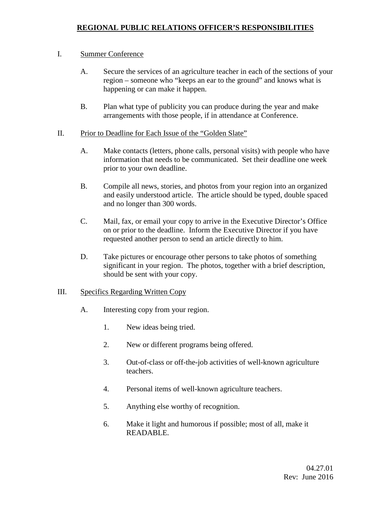## I. Summer Conference

- A. Secure the services of an agriculture teacher in each of the sections of your region – someone who "keeps an ear to the ground" and knows what is happening or can make it happen.
- B. Plan what type of publicity you can produce during the year and make arrangements with those people, if in attendance at Conference.

## II. Prior to Deadline for Each Issue of the "Golden Slate"

- A. Make contacts (letters, phone calls, personal visits) with people who have information that needs to be communicated. Set their deadline one week prior to your own deadline.
- B. Compile all news, stories, and photos from your region into an organized and easily understood article. The article should be typed, double spaced and no longer than 300 words.
- C. Mail, fax, or email your copy to arrive in the Executive Director's Office on or prior to the deadline. Inform the Executive Director if you have requested another person to send an article directly to him.
- D. Take pictures or encourage other persons to take photos of something significant in your region. The photos, together with a brief description, should be sent with your copy.

## III. Specifics Regarding Written Copy

- A. Interesting copy from your region.
	- 1. New ideas being tried.
	- 2. New or different programs being offered.
	- 3. Out-of-class or off-the-job activities of well-known agriculture teachers.
	- 4. Personal items of well-known agriculture teachers.
	- 5. Anything else worthy of recognition.
	- 6. Make it light and humorous if possible; most of all, make it READABLE.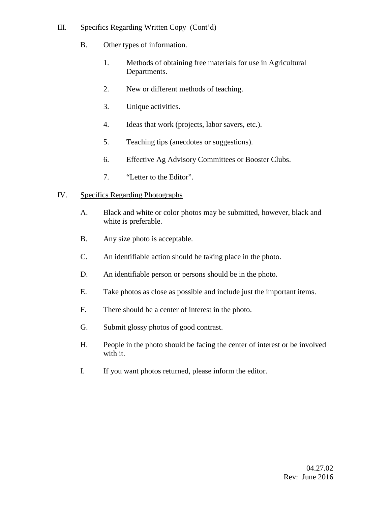## III. Specifics Regarding Written Copy (Cont'd)

- B. Other types of information.
	- 1. Methods of obtaining free materials for use in Agricultural Departments.
	- 2. New or different methods of teaching.
	- 3. Unique activities.
	- 4. Ideas that work (projects, labor savers, etc.).
	- 5. Teaching tips (anecdotes or suggestions).
	- 6. Effective Ag Advisory Committees or Booster Clubs.
	- 7. "Letter to the Editor".

## IV. Specifics Regarding Photographs

- A. Black and white or color photos may be submitted, however, black and white is preferable.
- B. Any size photo is acceptable.
- C. An identifiable action should be taking place in the photo.
- D. An identifiable person or persons should be in the photo.
- E. Take photos as close as possible and include just the important items.
- F. There should be a center of interest in the photo.
- G. Submit glossy photos of good contrast.
- H. People in the photo should be facing the center of interest or be involved with it.
- I. If you want photos returned, please inform the editor.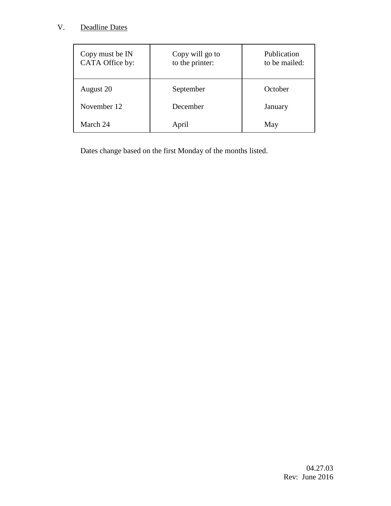# V. Deadline Dates

| Copy must be IN<br>CATA Office by: | Copy will go to<br>to the printer: | Publication<br>to be mailed: |
|------------------------------------|------------------------------------|------------------------------|
| August 20                          | September                          | October                      |
| November 12                        | December                           | January                      |
| March 24                           | April                              | May                          |

Dates change based on the first Monday of the months listed.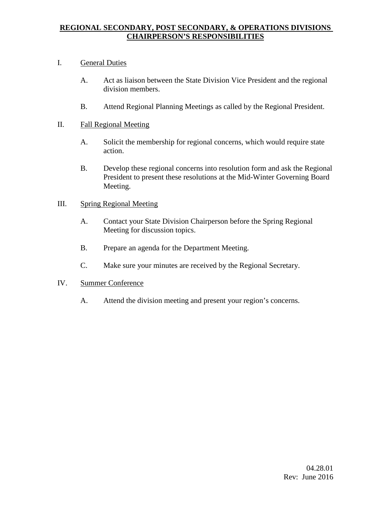# **REGIONAL SECONDARY, POST SECONDARY, & OPERATIONS DIVISIONS CHAIRPERSON'S RESPONSIBILITIES**

# I. General Duties

- A. Act as liaison between the State Division Vice President and the regional division members.
- B. Attend Regional Planning Meetings as called by the Regional President.

# II. Fall Regional Meeting

- A. Solicit the membership for regional concerns, which would require state action.
- B. Develop these regional concerns into resolution form and ask the Regional President to present these resolutions at the Mid-Winter Governing Board Meeting.

## III. Spring Regional Meeting

- A. Contact your State Division Chairperson before the Spring Regional Meeting for discussion topics.
- B. Prepare an agenda for the Department Meeting.
- C. Make sure your minutes are received by the Regional Secretary.

## IV. Summer Conference

A. Attend the division meeting and present your region's concerns.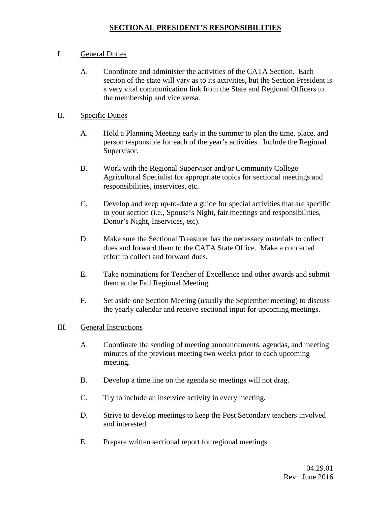## I. General Duties

A. Coordinate and administer the activities of the CATA Section. Each section of the state will vary as to its activities, but the Section President is a very vital communication link from the State and Regional Officers to the membership and vice versa.

### II. Specific Duties

- A. Hold a Planning Meeting early in the summer to plan the time, place, and person responsible for each of the year's activities. Include the Regional Supervisor.
- B. Work with the Regional Supervisor and/or Community College Agricultural Specialist for appropriate topics for sectional meetings and responsibilities, inservices, etc.
- C. Develop and keep up-to-date a guide for special activities that are specific to your section (i.e., Spouse's Night, fair meetings and responsibilities, Donor's Night, Inservices, etc).
- D. Make sure the Sectional Treasurer has the necessary materials to collect dues and forward them to the CATA State Office. Make a concerted effort to collect and forward dues.
- E. Take nominations for Teacher of Excellence and other awards and submit them at the Fall Regional Meeting.
- F. Set aside one Section Meeting (usually the September meeting) to discuss the yearly calendar and receive sectional input for upcoming meetings.

#### III. General Instructions

- A. Coordinate the sending of meeting announcements, agendas, and meeting minutes of the previous meeting two weeks prior to each upcoming meeting.
- B. Develop a time line on the agenda so meetings will not drag.
- C. Try to include an inservice activity in every meeting.
- D. Strive to develop meetings to keep the Post Secondary teachers involved and interested.
- E. Prepare written sectional report for regional meetings.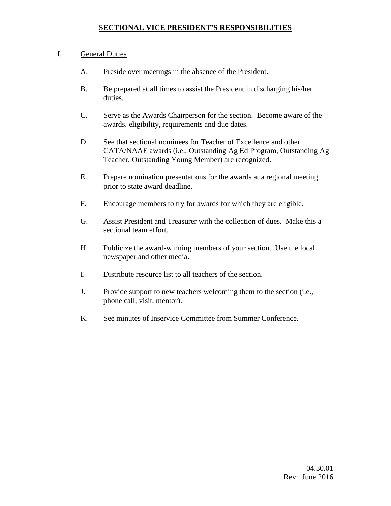## **SECTIONAL VICE PRESIDENT'S RESPONSIBILITIES**

#### I. General Duties

- A. Preside over meetings in the absence of the President.
- B. Be prepared at all times to assist the President in discharging his/her duties.
- C. Serve as the Awards Chairperson for the section. Become aware of the awards, eligibility, requirements and due dates.
- D. See that sectional nominees for Teacher of Excellence and other CATA/NAAE awards (i.e., Outstanding Ag Ed Program, Outstanding Ag Teacher, Outstanding Young Member) are recognized.
- E. Prepare nomination presentations for the awards at a regional meeting prior to state award deadline.
- F. Encourage members to try for awards for which they are eligible.
- G. Assist President and Treasurer with the collection of dues. Make this a sectional team effort.
- H. Publicize the award-winning members of your section. Use the local newspaper and other media.
- I. Distribute resource list to all teachers of the section.
- J. Provide support to new teachers welcoming them to the section (i.e., phone call, visit, mentor).
- K. See minutes of Inservice Committee from Summer Conference.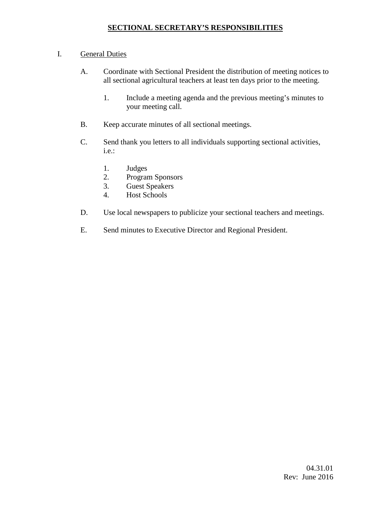# **SECTIONAL SECRETARY'S RESPONSIBILITIES**

## I. General Duties

- A. Coordinate with Sectional President the distribution of meeting notices to all sectional agricultural teachers at least ten days prior to the meeting.
	- 1. Include a meeting agenda and the previous meeting's minutes to your meeting call.
- B. Keep accurate minutes of all sectional meetings.
- C. Send thank you letters to all individuals supporting sectional activities, i.e.:
	- 1. Judges
	- 2. Program Sponsors
	- 3. Guest Speakers
	- 4. Host Schools
- D. Use local newspapers to publicize your sectional teachers and meetings.
- E. Send minutes to Executive Director and Regional President.